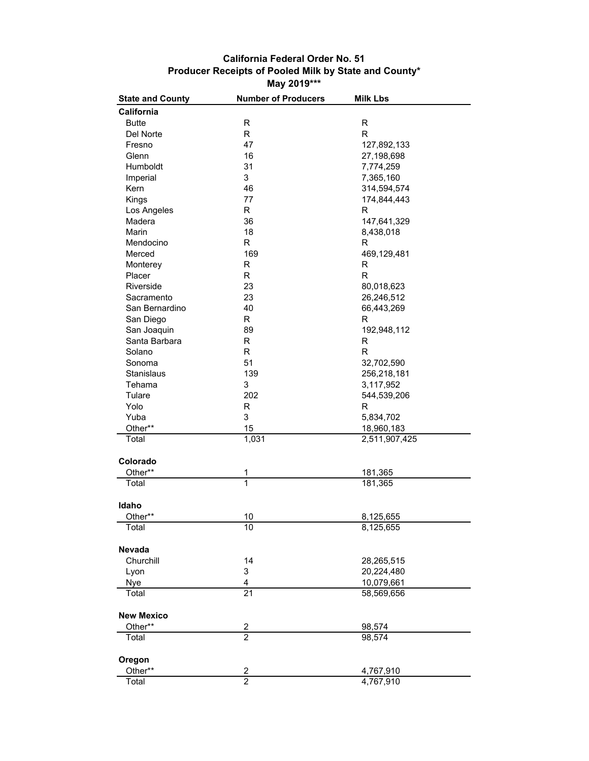## **California Federal Order No. 51 Producer Receipts of Pooled Milk by State and County\* May 2019\*\*\***

| <b>State and County</b> | <b>Number of Producers</b> | <b>Milk Lbs</b>             |
|-------------------------|----------------------------|-----------------------------|
| California              |                            |                             |
| <b>Butte</b>            | R                          | R                           |
| Del Norte               | R                          | $\mathsf{R}$                |
| Fresno                  | 47                         | 127,892,133                 |
| Glenn                   | 16                         | 27,198,698                  |
| Humboldt                | 31                         | 7,774,259                   |
| Imperial                | 3                          | 7,365,160                   |
| Kern                    | 46                         | 314,594,574                 |
| Kings                   | 77                         | 174,844,443                 |
| Los Angeles             | R                          | R                           |
| Madera                  | 36                         | 147,641,329                 |
| Marin                   | 18                         | 8,438,018                   |
| Mendocino               | R                          | R                           |
| Merced                  | 169                        | 469,129,481                 |
| Monterey                | R                          | R                           |
| Placer                  | R                          | R                           |
| Riverside               | 23                         | 80,018,623                  |
| Sacramento              | 23                         | 26,246,512                  |
| San Bernardino          | 40                         | 66,443,269                  |
| San Diego               | R                          | R                           |
| San Joaquin             | 89                         | 192,948,112                 |
| Santa Barbara           | R                          | R                           |
| Solano                  | R                          | $\mathsf{R}$                |
|                         | 51                         |                             |
| Sonoma<br>Stanislaus    |                            | 32,702,590                  |
|                         | 139                        | 256,218,181                 |
| Tehama<br>Tulare        | 3<br>202                   | 3,117,952                   |
|                         |                            | 544,539,206<br>R            |
| Yolo                    | R                          |                             |
| Yuba                    | 3                          | 5,834,702                   |
| Other**<br>Total        | 15<br>$\overline{1,}031$   | 18,960,183<br>2,511,907,425 |
|                         |                            |                             |
| Colorado                |                            |                             |
| Other**                 | 1                          | 181,365                     |
| Total                   | $\overline{1}$             | 181,365                     |
|                         |                            |                             |
| Idaho                   |                            |                             |
| Other**                 | 10                         | 8,125,655                   |
| Total                   | 10                         | 8,125,655                   |
|                         |                            |                             |
| Nevada                  |                            |                             |
| Churchill               | 14                         | 28,265,515                  |
| Lyon                    | 3                          | 20,224,480                  |
| Nye                     | $\overline{\mathbf{4}}$    | 10,079,661                  |
| Total                   | $\overline{21}$            | 58,569,656                  |
|                         |                            |                             |
| <b>New Mexico</b>       |                            |                             |
| Other**                 | $\overline{\mathbf{c}}$    | 98,574                      |
| Total                   | $\overline{2}$             | 98,574                      |
|                         |                            |                             |
| Oregon                  |                            |                             |
| Other**                 | $\overline{\mathbf{c}}$    | 4,767,910                   |
| Total                   | $\overline{2}$             | 4,767,910                   |